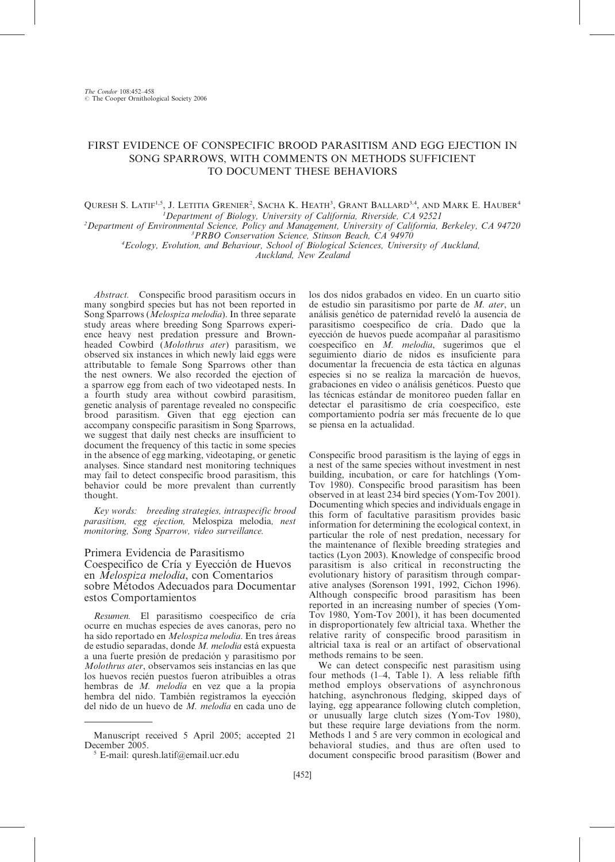# FIRST EVIDENCE OF CONSPECIFIC BROOD PARASITISM AND EGG EJECTION IN SONG SPARROWS, WITH COMMENTS ON METHODS SUFFICIENT TO DOCUMENT THESE BEHAVIORS

#### QURESH S. LATIF<sup>1,5</sup>, J. LETITIA GRENIER<sup>2</sup>, SACHA K. HEATH<sup>3</sup>, GRANT BALLARD<sup>3,4</sup>, AND MARK E. HAUBER<sup>4</sup> <sup>1</sup>Department of Biology, University of California, Riverside, CA 92521 Department of Biology, University of California, Riverside, CA 92521<sup>2</sup><br>Department of Environmental Science, Policy and Management, University of California Department of Environmental Science, Policy and Management, University of California, Berkeley, CA 94720<br><sup>3</sup>PRRO Conservation Science, Stinson Beach, CA 94970

PRBO Conservation Science, Stinson Beach, CA 94970 <sup>4</sup> Ecology, Evolution, and Behaviour, School of Biological Sciences, University of Auckland,

Auckland, New Zealand

Abstract. Conspecific brood parasitism occurs in many songbird species but has not been reported in Song Sparrows (Melospiza melodia). In three separate study areas where breeding Song Sparrows experience heavy nest predation pressure and Brownheaded Cowbird (Molothrus ater) parasitism, we observed six instances in which newly laid eggs were attributable to female Song Sparrows other than the nest owners. We also recorded the ejection of a sparrow egg from each of two videotaped nests. In a fourth study area without cowbird parasitism, genetic analysis of parentage revealed no conspecific brood parasitism. Given that egg ejection can accompany conspecific parasitism in Song Sparrows, we suggest that daily nest checks are insufficient to document the frequency of this tactic in some species in the absence of egg marking, videotaping, or genetic analyses. Since standard nest monitoring techniques may fail to detect conspecific brood parasitism, this behavior could be more prevalent than currently thought.

Key words: breeding strategies, intraspecific brood parasitism, egg ejection, Melospiza melodia, nest monitoring, Song Sparrow, video surveillance.

# Primera Evidencia de Parasitismo Coespecifico de Cría y Eyección de Huevos en Melospiza melodia, con Comentarios sobre Métodos Adecuados para Documentar estos Comportamientos

Resumen. El parasitismo coespecifico de cría ocurre en muchas especies de aves canoras, pero no ha sido reportado en Melospiza melodia. En tres áreas de estudio separadas, donde M. melodia está expuesta a una fuerte presión de predación y parasitismo por Molothrus ater, observamos seis instancias en las que los huevos recién puestos fueron atribuibles a otras hembras de M. melodía en vez que a la propia hembra del nido. También registramos la eyección del nido de un huevo de  $M$ . melodía en cada uno de

los dos nidos grabados en video. En un cuarto sitio de estudio sin parasitismo por parte de M. ater, un análisis genético de paternidad reveló la ausencia de parasitismo coespecifico de cría. Dado que la eyección de huevos puede acompañar al parasitismo  $cosepecifico$  en  $\overrightarrow{M}$ . *melodia*, sugerimos que el seguimiento diario de nidos es insuficiente para documentar la frecuencia de esta táctica en algunas especies si no se realiza la marcación de huevos, grabaciones en video o análisis genéticos. Puesto que las técnicas estándar de monitoreo pueden fallar en detectar el parasitismo de cría coespecifico, este comportamiento podría ser más frecuente de lo que se piensa en la actualidad.

Conspecific brood parasitism is the laying of eggs in a nest of the same species without investment in nest building, incubation, or care for hatchlings (Yom-Tov 1980). Conspecific brood parasitism has been observed in at least 234 bird species (Yom-Tov 2001). Documenting which species and individuals engage in this form of facultative parasitism provides basic information for determining the ecological context, in particular the role of nest predation, necessary for the maintenance of flexible breeding strategies and tactics (Lyon 2003). Knowledge of conspecific brood parasitism is also critical in reconstructing the evolutionary history of parasitism through comparative analyses (Sorenson 1991, 1992, Cichon 1996). Although conspecific brood parasitism has been reported in an increasing number of species (Yom-Tov 1980, Yom-Tov 2001), it has been documented in disproportionately few altricial taxa. Whether the relative rarity of conspecific brood parasitism in altricial taxa is real or an artifact of observational methods remains to be seen.

We can detect conspecific nest parasitism using four methods (1–4, Table 1). A less reliable fifth method employs observations of asynchronous hatching, asynchronous fledging, skipped days of laying, egg appearance following clutch completion, or unusually large clutch sizes (Yom-Tov 1980), but these require large deviations from the norm. Methods 1 and 5 are very common in ecological and behavioral studies, and thus are often used to document conspecific brood parasitism (Bower and

Manuscript received 5 April 2005; accepted 21

 $5$  E-mail: quresh.latif@email.ucr.edu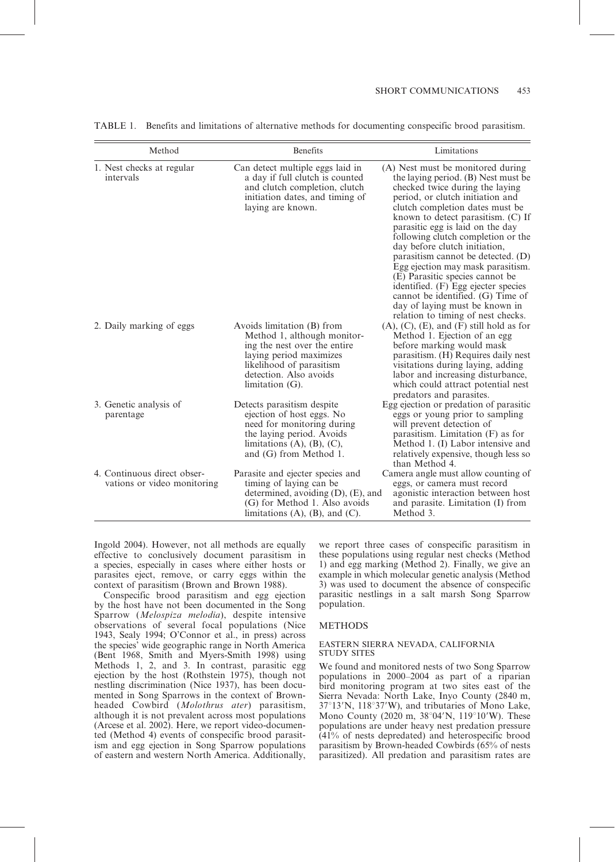| Method                                                     | <b>Benefits</b>                                                                                                                                                                                  | Limitations                                                                                                                                                                                                                                                                                                                                                                                                                                                                                                                                                                                             |
|------------------------------------------------------------|--------------------------------------------------------------------------------------------------------------------------------------------------------------------------------------------------|---------------------------------------------------------------------------------------------------------------------------------------------------------------------------------------------------------------------------------------------------------------------------------------------------------------------------------------------------------------------------------------------------------------------------------------------------------------------------------------------------------------------------------------------------------------------------------------------------------|
| 1. Nest checks at regular<br>intervals                     | Can detect multiple eggs laid in<br>a day if full clutch is counted<br>and clutch completion, clutch<br>initiation dates, and timing of<br>laying are known.                                     | (A) Nest must be monitored during<br>the laying period. (B) Nest must be<br>checked twice during the laying<br>period, or clutch initiation and<br>clutch completion dates must be<br>known to detect parasitism. (C) If<br>parasitic egg is laid on the day<br>following clutch completion or the<br>day before clutch initiation,<br>parasitism cannot be detected. $(D)$<br>Egg ejection may mask parasitism.<br>(E) Parasitic species cannot be<br>identified. (F) Egg ejecter species<br>cannot be identified. (G) Time of<br>day of laying must be known in<br>relation to timing of nest checks. |
| 2. Daily marking of eggs                                   | Avoids limitation (B) from<br>Method 1, although monitor-<br>ing the nest over the entire<br>laying period maximizes<br>likelihood of parasitism<br>detection. Also avoids<br>limitation $(G)$ . | $(A)$ , $(C)$ , $(E)$ , and $(F)$ still hold as for<br>Method 1. Ejection of an egg<br>before marking would mask<br>parasitism. (H) Requires daily nest<br>visitations during laying, adding<br>labor and increasing disturbance,<br>which could attract potential nest<br>predators and parasites.                                                                                                                                                                                                                                                                                                     |
| 3. Genetic analysis of<br>parentage                        | Detects parasitism despite<br>ejection of host eggs. No<br>need for monitoring during<br>the laying period. Avoids<br>limitations $(A)$ , $(B)$ , $(C)$ ,<br>and (G) from Method 1.              | Egg ejection or predation of parasitic<br>eggs or young prior to sampling<br>will prevent detection of<br>parasitism. Limitation $(F)$ as for<br>Method 1. (I) Labor intensive and<br>relatively expensive, though less so<br>than Method 4.                                                                                                                                                                                                                                                                                                                                                            |
| 4. Continuous direct obser-<br>vations or video monitoring | Parasite and ejecter species and<br>timing of laying can be<br>determined, avoiding $(D)$ , $(E)$ , and<br>(G) for Method 1. Also avoids<br>limitations $(A)$ , $(B)$ , and $(C)$ .              | Camera angle must allow counting of<br>eggs, or camera must record<br>agonistic interaction between host<br>and parasite. Limitation (I) from<br>Method 3.                                                                                                                                                                                                                                                                                                                                                                                                                                              |

TABLE 1. Benefits and limitations of alternative methods for documenting conspecific brood parasitism.

Ingold 2004). However, not all methods are equally effective to conclusively document parasitism in a species, especially in cases where either hosts or parasites eject, remove, or carry eggs within the context of parasitism (Brown and Brown 1988).

Conspecific brood parasitism and egg ejection by the host have not been documented in the Song Sparrow (Melospiza melodia), despite intensive observations of several focal populations (Nice 1943, Sealy 1994; O'Connor et al., in press) across the species' wide geographic range in North America (Bent 1968, Smith and Myers-Smith 1998) using Methods 1, 2, and 3. In contrast, parasitic egg ejection by the host (Rothstein 1975), though not nestling discrimination (Nice 1937), has been documented in Song Sparrows in the context of Brownheaded Cowbird (Molothrus ater) parasitism, although it is not prevalent across most populations (Arcese et al. 2002). Here, we report video-documented (Method 4) events of conspecific brood parasitism and egg ejection in Song Sparrow populations of eastern and western North America. Additionally,

we report three cases of conspecific parasitism in these populations using regular nest checks (Method 1) and egg marking (Method 2). Finally, we give an example in which molecular genetic analysis (Method 3) was used to document the absence of conspecific parasitic nestlings in a salt marsh Song Sparrow population.

## METHODS

#### EASTERN SIERRA NEVADA, CALIFORNIA STUDY SITES

We found and monitored nests of two Song Sparrow populations in 2000–2004 as part of a riparian bird monitoring program at two sites east of the Sierra Nevada: North Lake, Inyo County (2840 m, 37°13'N, 118°37'W), and tributaries of Mono Lake, Mono County (2020 m,  $38^{\circ}04'N$ ,  $119^{\circ}10'W$ ). These populations are under heavy nest predation pressure (41% of nests depredated) and heterospecific brood parasitism by Brown-headed Cowbirds (65% of nests parasitized). All predation and parasitism rates are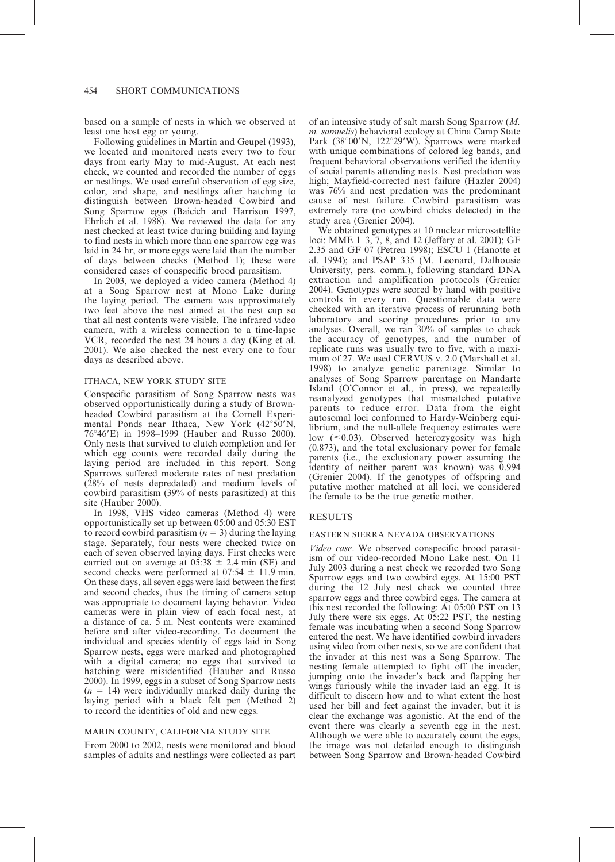based on a sample of nests in which we observed at least one host egg or young.

Following guidelines in Martin and Geupel (1993), we located and monitored nests every two to four days from early May to mid-August. At each nest check, we counted and recorded the number of eggs or nestlings. We used careful observation of egg size, color, and shape, and nestlings after hatching to distinguish between Brown-headed Cowbird and Song Sparrow eggs (Baicich and Harrison 1997, Ehrlich et al. 1988). We reviewed the data for any nest checked at least twice during building and laying to find nests in which more than one sparrow egg was laid in 24 hr, or more eggs were laid than the number of days between checks (Method 1); these were considered cases of conspecific brood parasitism.

In 2003, we deployed a video camera (Method 4) at a Song Sparrow nest at Mono Lake during the laying period. The camera was approximately two feet above the nest aimed at the nest cup so that all nest contents were visible. The infrared video camera, with a wireless connection to a time-lapse VCR, recorded the nest 24 hours a day (King et al. 2001). We also checked the nest every one to four days as described above.

## ITHACA, NEW YORK STUDY SITE

Conspecific parasitism of Song Sparrow nests was observed opportunistically during a study of Brownheaded Cowbird parasitism at the Cornell Experimental Ponds near Ithaca, New York  $(42^{\circ}50^{\prime}N,$ 76°46'E) in 1998–1999 (Hauber and Russo 2000). Only nests that survived to clutch completion and for which egg counts were recorded daily during the laying period are included in this report. Song Sparrows suffered moderate rates of nest predation (28% of nests depredated) and medium levels of cowbird parasitism (39% of nests parasitized) at this site (Hauber 2000).

In 1998, VHS video cameras (Method 4) were opportunistically set up between 05:00 and 05:30 EST to record cowbird parasitism ( $n = 3$ ) during the laying stage. Separately, four nests were checked twice on each of seven observed laying days. First checks were carried out on average at  $05:38 \pm 2.4$  min (SE) and second checks were performed at  $07:54 \pm 11.9$  min. On these days, all seven eggs were laid between the first and second checks, thus the timing of camera setup was appropriate to document laying behavior. Video cameras were in plain view of each focal nest, at a distance of ca.  $\bar{5}$  m. Nest contents were examined before and after video-recording. To document the individual and species identity of eggs laid in Song Sparrow nests, eggs were marked and photographed with a digital camera; no eggs that survived to hatching were misidentified (Hauber and Russo 2000). In 1999, eggs in a subset of Song Sparrow nests  $(n = 14)$  were individually marked daily during the laying period with a black felt pen (Method 2) to record the identities of old and new eggs.

## MARIN COUNTY, CALIFORNIA STUDY SITE

From 2000 to 2002, nests were monitored and blood samples of adults and nestlings were collected as part of an intensive study of salt marsh Song Sparrow (M. m. samuelis) behavioral ecology at China Camp State Park  $(38°00'N, 122°29'W)$ . Sparrows were marked with unique combinations of colored leg bands, and frequent behavioral observations verified the identity of social parents attending nests. Nest predation was high; Mayfield-corrected nest failure (Hazler 2004) was 76% and nest predation was the predominant cause of nest failure. Cowbird parasitism was extremely rare (no cowbird chicks detected) in the study area (Grenier 2004).

We obtained genotypes at 10 nuclear microsatellite loci: MME 1–3, 7, 8, and 12 (Jeffery et al. 2001); GF 2.35 and GF 07 (Petren 1998); ESCU 1 (Hanotte et al. 1994); and PSAP 335 (M. Leonard, Dalhousie University, pers. comm.), following standard DNA extraction and amplification protocols (Grenier 2004). Genotypes were scored by hand with positive controls in every run. Questionable data were checked with an iterative process of rerunning both laboratory and scoring procedures prior to any analyses. Overall, we ran 30% of samples to check the accuracy of genotypes, and the number of replicate runs was usually two to five, with a maximum of 27. We used CERVUS v. 2.0 (Marshall et al. 1998) to analyze genetic parentage. Similar to analyses of Song Sparrow parentage on Mandarte Island (O'Connor et al., in press), we repeatedly reanalyzed genotypes that mismatched putative parents to reduce error. Data from the eight autosomal loci conformed to Hardy-Weinberg equilibrium, and the null-allele frequency estimates were low  $(\leq 0.03)$ . Observed heterozygosity was high (0.873), and the total exclusionary power for female parents (i.e., the exclusionary power assuming the identity of neither parent was known) was 0.994 (Grenier 2004). If the genotypes of offspring and putative mother matched at all loci, we considered the female to be the true genetic mother.

### RESULTS

## EASTERN SIERRA NEVADA OBSERVATIONS

Video case. We observed conspecific brood parasitism of our video-recorded Mono Lake nest. On 11 July 2003 during a nest check we recorded two Song Sparrow eggs and two cowbird eggs. At 15:00 PST during the 12 July nest check we counted three sparrow eggs and three cowbird eggs. The camera at this nest recorded the following: At 05:00 PST on 13 July there were six eggs. At 05:22 PST, the nesting female was incubating when a second Song Sparrow entered the nest. We have identified cowbird invaders using video from other nests, so we are confident that the invader at this nest was a Song Sparrow. The nesting female attempted to fight off the invader, jumping onto the invader's back and flapping her wings furiously while the invader laid an egg. It is difficult to discern how and to what extent the host used her bill and feet against the invader, but it is clear the exchange was agonistic. At the end of the event there was clearly a seventh egg in the nest. Although we were able to accurately count the eggs, the image was not detailed enough to distinguish between Song Sparrow and Brown-headed Cowbird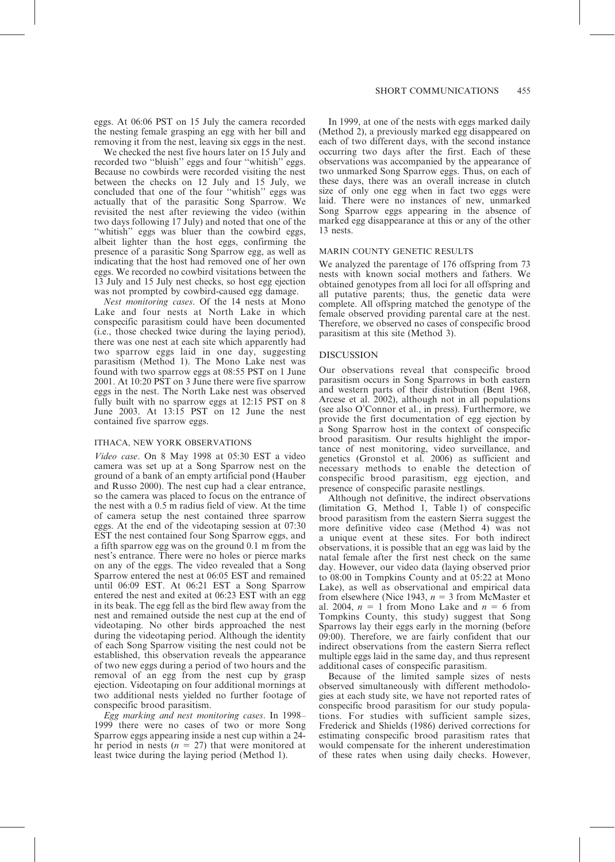eggs. At 06:06 PST on 15 July the camera recorded the nesting female grasping an egg with her bill and removing it from the nest, leaving six eggs in the nest.

We checked the nest five hours later on 15 July and recorded two ''bluish'' eggs and four ''whitish'' eggs. Because no cowbirds were recorded visiting the nest between the checks on 12 July and  $15$  July, we concluded that one of the four ''whitish'' eggs was actually that of the parasitic Song Sparrow. We revisited the nest after reviewing the video (within two days following 17 July) and noted that one of the "whitish" eggs was bluer than the cowbird eggs, albeit lighter than the host eggs, confirming the presence of a parasitic Song Sparrow egg, as well as indicating that the host had removed one of her own eggs. We recorded no cowbird visitations between the 13 July and 15 July nest checks, so host egg ejection was not prompted by cowbird-caused egg damage.

Nest monitoring cases. Of the 14 nests at Mono Lake and four nests at North Lake in which conspecific parasitism could have been documented (i.e., those checked twice during the laying period), there was one nest at each site which apparently had two sparrow eggs laid in one day, suggesting parasitism (Method 1). The Mono Lake nest was found with two sparrow eggs at 08:55 PST on 1 June 2001. At 10:20 PST on 3 June there were five sparrow eggs in the nest. The North Lake nest was observed fully built with no sparrow eggs at 12:15 PST on 8 June 2003. At 13:15 PST on 12 June the nest contained five sparrow eggs.

### ITHACA, NEW YORK OBSERVATIONS

Video case. On 8 May 1998 at 05:30 EST a video camera was set up at a Song Sparrow nest on the ground of a bank of an empty artificial pond (Hauber and Russo 2000). The nest cup had a clear entrance, so the camera was placed to focus on the entrance of the nest with a 0.5 m radius field of view. At the time of camera setup the nest contained three sparrow eggs. At the end of the videotaping session at 07:30 EST the nest contained four Song Sparrow eggs, and a fifth sparrow egg was on the ground 0.1 m from the nest's entrance. There were no holes or pierce marks on any of the eggs. The video revealed that a Song Sparrow entered the nest at 06:05 EST and remained until 06:09 EST. At 06:21 EST a Song Sparrow entered the nest and exited at 06:23 EST with an egg in its beak. The egg fell as the bird flew away from the nest and remained outside the nest cup at the end of videotaping. No other birds approached the nest during the videotaping period. Although the identity of each Song Sparrow visiting the nest could not be established, this observation reveals the appearance of two new eggs during a period of two hours and the removal of an egg from the nest cup by grasp ejection. Videotaping on four additional mornings at two additional nests yielded no further footage of conspecific brood parasitism.

Egg marking and nest monitoring cases. In 1998– 1999 there were no cases of two or more Song Sparrow eggs appearing inside a nest cup within a 24 hr period in nests ( $n = 27$ ) that were monitored at least twice during the laying period (Method 1).

In 1999, at one of the nests with eggs marked daily (Method 2), a previously marked egg disappeared on each of two different days, with the second instance occurring two days after the first. Each of these observations was accompanied by the appearance of two unmarked Song Sparrow eggs. Thus, on each of these days, there was an overall increase in clutch size of only one egg when in fact two eggs were laid. There were no instances of new, unmarked Song Sparrow eggs appearing in the absence of marked egg disappearance at this or any of the other 13 nests.

## MARIN COUNTY GENETIC RESULTS

We analyzed the parentage of 176 offspring from 73 nests with known social mothers and fathers. We obtained genotypes from all loci for all offspring and all putative parents; thus, the genetic data were complete. All offspring matched the genotype of the female observed providing parental care at the nest. Therefore, we observed no cases of conspecific brood parasitism at this site (Method 3).

### DISCUSSION

Our observations reveal that conspecific brood parasitism occurs in Song Sparrows in both eastern and western parts of their distribution (Bent 1968, Arcese et al. 2002), although not in all populations (see also O'Connor et al., in press). Furthermore, we provide the first documentation of egg ejection by a Song Sparrow host in the context of conspecific brood parasitism. Our results highlight the importance of nest monitoring, video surveillance, and genetics (Gronstol et al. 2006) as sufficient and necessary methods to enable the detection of conspecific brood parasitism, egg ejection, and presence of conspecific parasite nestlings.

Although not definitive, the indirect observations (limitation G, Method 1, Table 1) of conspecific brood parasitism from the eastern Sierra suggest the more definitive video case (Method 4) was not a unique event at these sites. For both indirect observations, it is possible that an egg was laid by the natal female after the first nest check on the same day. However, our video data (laying observed prior to 08:00 in Tompkins County and at 05:22 at Mono Lake), as well as observational and empirical data from elsewhere (Nice 1943,  $n = 3$  from McMaster et al. 2004,  $n = 1$  from Mono Lake and  $n = 6$  from Tompkins County, this study) suggest that Song Sparrows lay their eggs early in the morning (before 09:00). Therefore, we are fairly confident that our indirect observations from the eastern Sierra reflect multiple eggs laid in the same day, and thus represent additional cases of conspecific parasitism.

Because of the limited sample sizes of nests observed simultaneously with different methodologies at each study site, we have not reported rates of conspecific brood parasitism for our study populations. For studies with sufficient sample sizes, Frederick and Shields (1986) derived corrections for estimating conspecific brood parasitism rates that would compensate for the inherent underestimation of these rates when using daily checks. However,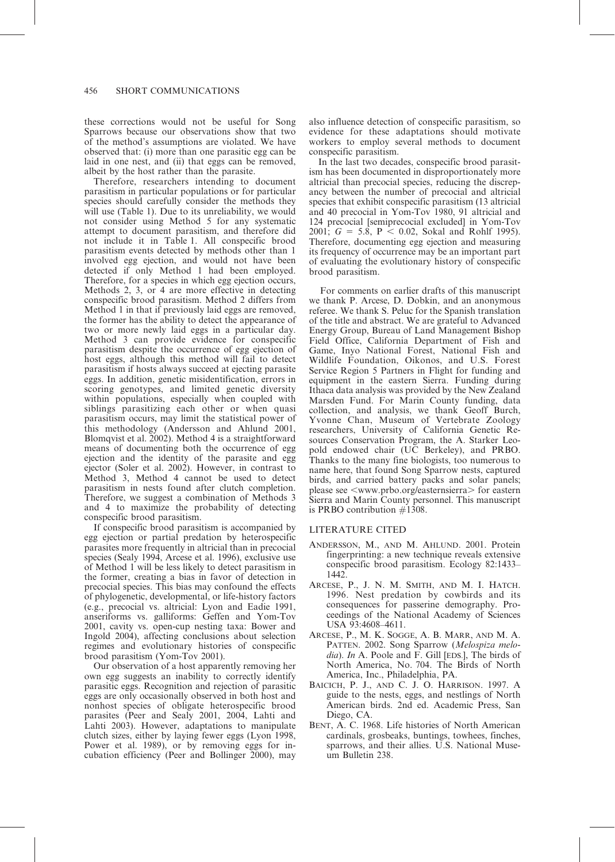these corrections would not be useful for Song Sparrows because our observations show that two of the method's assumptions are violated. We have observed that: (i) more than one parasitic egg can be laid in one nest, and (ii) that eggs can be removed. albeit by the host rather than the parasite.

Therefore, researchers intending to document parasitism in particular populations or for particular species should carefully consider the methods they will use (Table 1). Due to its unreliability, we would not consider using Method 5 for any systematic attempt to document parasitism, and therefore did not include it in Table 1. All conspecific brood parasitism events detected by methods other than 1 involved egg ejection, and would not have been detected if only Method 1 had been employed. Therefore, for a species in which egg ejection occurs, Methods 2, 3, or 4 are more effective in detecting conspecific brood parasitism. Method 2 differs from Method 1 in that if previously laid eggs are removed, the former has the ability to detect the appearance of two or more newly laid eggs in a particular day. Method 3 can provide evidence for conspecific parasitism despite the occurrence of egg ejection of host eggs, although this method will fail to detect parasitism if hosts always succeed at ejecting parasite eggs. In addition, genetic misidentification, errors in scoring genotypes, and limited genetic diversity within populations, especially when coupled with siblings parasitizing each other or when quasi parasitism occurs, may limit the statistical power of this methodology (Andersson and Ahlund 2001, Blomqvist et al. 2002). Method 4 is a straightforward means of documenting both the occurrence of egg ejection and the identity of the parasite and egg ejector (Soler et al. 2002). However, in contrast to Method 3, Method 4 cannot be used to detect parasitism in nests found after clutch completion. Therefore, we suggest a combination of Methods 3 and 4 to maximize the probability of detecting conspecific brood parasitism.

If conspecific brood parasitism is accompanied by egg ejection or partial predation by heterospecific parasites more frequently in altricial than in precocial species (Sealy 1994, Arcese et al. 1996), exclusive use of Method 1 will be less likely to detect parasitism in the former, creating a bias in favor of detection in precocial species. This bias may confound the effects of phylogenetic, developmental, or life-history factors (e.g., precocial vs. altricial: Lyon and Eadie 1991, anseriforms vs. galliforms: Geffen and Yom-Tov 2001, cavity vs. open-cup nesting taxa: Bower and Ingold 2004), affecting conclusions about selection regimes and evolutionary histories of conspecific brood parasitism (Yom-Tov 2001).

Our observation of a host apparently removing her own egg suggests an inability to correctly identify parasitic eggs. Recognition and rejection of parasitic eggs are only occasionally observed in both host and nonhost species of obligate heterospecific brood parasites (Peer and Sealy 2001, 2004, Lahti and Lahti 2003). However, adaptations to manipulate clutch sizes, either by laying fewer eggs (Lyon 1998, Power et al. 1989), or by removing eggs for incubation efficiency (Peer and Bollinger 2000), may

also influence detection of conspecific parasitism, so evidence for these adaptations should motivate workers to employ several methods to document conspecific parasitism.

In the last two decades, conspecific brood parasitism has been documented in disproportionately more altricial than precocial species, reducing the discrepancy between the number of precocial and altricial species that exhibit conspecific parasitism (13 altricial and 40 precocial in Yom-Tov 1980, 91 altricial and 124 precocial [semiprecocial excluded] in Yom-Tov 2001;  $G = 5.8$ ,  $P \le 0.02$ , Sokal and Rohlf 1995). Therefore, documenting egg ejection and measuring its frequency of occurrence may be an important part of evaluating the evolutionary history of conspecific brood parasitism.

For comments on earlier drafts of this manuscript we thank P. Arcese, D. Dobkin, and an anonymous referee. We thank S. Peluc for the Spanish translation of the title and abstract. We are grateful to Advanced Energy Group, Bureau of Land Management Bishop Field Office, California Department of Fish and Game, Inyo National Forest, National Fish and Wildlife Foundation, Oikonos, and U.S. Forest Service Region 5 Partners in Flight for funding and equipment in the eastern Sierra. Funding during Ithaca data analysis was provided by the New Zealand Marsden Fund. For Marin County funding, data collection, and analysis, we thank Geoff Burch, Yvonne Chan, Museum of Vertebrate Zoology researchers, University of California Genetic Resources Conservation Program, the A. Starker Leopold endowed chair (UC Berkeley), and PRBO. Thanks to the many fine biologists, too numerous to name here, that found Song Sparrow nests, captured birds, and carried battery packs and solar panels; please see <www.prbo.org/easternsierra> for eastern Sierra and Marin County personnel. This manuscript is PRBO contribution *#*1308.

## LITERATURE CITED

- ANDERSSON, M., AND M. AHLUND. 2001. Protein fingerprinting: a new technique reveals extensive conspecific brood parasitism. Ecology 82:1433– 1442.
- ARCESE, P., J. N. M. SMITH, AND M. I. HATCH. 1996. Nest predation by cowbirds and its consequences for passerine demography. Proceedings of the National Academy of Sciences USA 93:4608–4611.
- ARCESE, P., M. K. SOGGE, A. B. MARR, AND M. A. PATTEN. 2002. Song Sparrow (Melospiza melodia). In A. Poole and F. Gill [EDS.], The birds of North America, No. 704. The Birds of North America, Inc., Philadelphia, PA.
- BAICICH, P. J., AND C. J. O. HARRISON. 1997. A guide to the nests, eggs, and nestlings of North American birds. 2nd ed. Academic Press, San Diego, CA.
- BENT, A. C. 1968. Life histories of North American cardinals, grosbeaks, buntings, towhees, finches, sparrows, and their allies. U.S. National Museum Bulletin 238.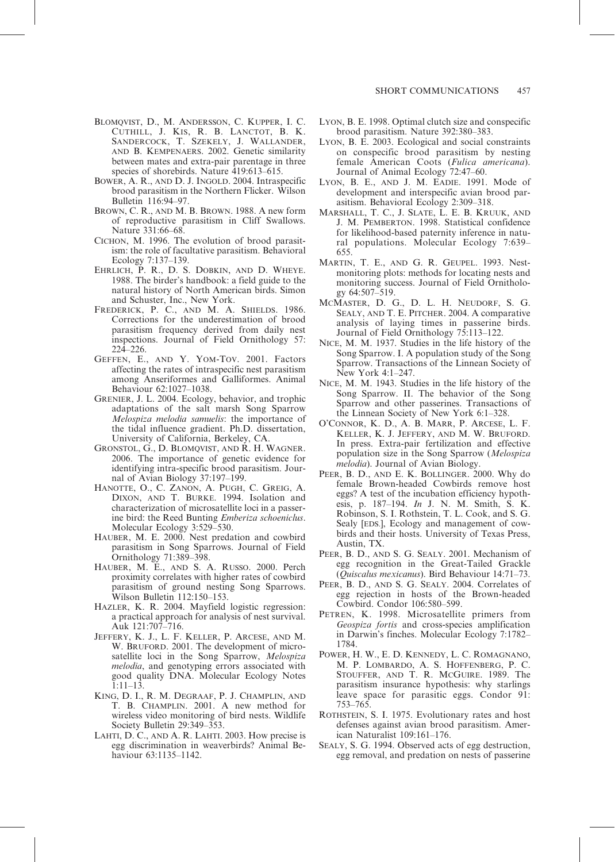- BLOMQVIST, D., M. ANDERSSON, C. KUPPER, I. C. CUTHILL, J. KIS, R. B. LANCTOT, B. K. SANDERCOCK, T. SZEKELY, J. WALLANDER, AND B. KEMPENAERS. 2002. Genetic similarity between mates and extra-pair parentage in three species of shorebirds. Nature 419:613-615.
- BOWER, A. R., AND D. J. INGOLD. 2004. Intraspecific brood parasitism in the Northern Flicker. Wilson Bulletin 116:94–97.
- BROWN, C. R., AND M. B. BROWN. 1988. A new form of reproductive parasitism in Cliff Swallows. Nature 331:66–68.
- CICHON, M. 1996. The evolution of brood parasitism: the role of facultative parasitism. Behavioral Ecology 7:137–139.
- EHRLICH, P. R., D. S. DOBKIN, AND D. WHEYE. 1988. The birder's handbook: a field guide to the natural history of North American birds. Simon and Schuster, Inc., New York.
- FREDERICK, P. C., AND M. A. SHIELDS. 1986. Corrections for the underestimation of brood parasitism frequency derived from daily nest inspections. Journal of Field Ornithology 57: 224–226.
- GEFFEN, E., AND Y. YOM-TOV. 2001. Factors affecting the rates of intraspecific nest parasitism among Anseriformes and Galliformes. Animal Behaviour 62:1027–1038.
- GRENIER, J. L. 2004. Ecology, behavior, and trophic adaptations of the salt marsh Song Sparrow Melospiza melodia samuelis: the importance of the tidal influence gradient. Ph.D. dissertation, University of California, Berkeley, CA.
- GRONSTOL, G., D. BLOMQVIST, AND R. H. WAGNER. 2006. The importance of genetic evidence for identifying intra-specific brood parasitism. Journal of Avian Biology 37:197–199.
- HANOTTE, O., C. ZANON, A. PUGH, C. GREIG, A. DIXON, AND T. BURKE. 1994. Isolation and characterization of microsatellite loci in a passerine bird: the Reed Bunting Emberiza schoeniclus. Molecular Ecology 3:529–530.
- HAUBER, M. E. 2000. Nest predation and cowbird parasitism in Song Sparrows. Journal of Field Ornithology 71:389–398.
- HAUBER, M. E., AND S. A. RUSSO. 2000. Perch proximity correlates with higher rates of cowbird parasitism of ground nesting Song Sparrows. Wilson Bulletin 112:150–153.
- HAZLER, K. R. 2004. Mayfield logistic regression: a practical approach for analysis of nest survival. Auk 121:707–716.
- JEFFERY, K. J., L. F. KELLER, P. ARCESE, AND M. W. BRUFORD. 2001. The development of microsatellite loci in the Song Sparrow, Melospiza melodia, and genotyping errors associated with good quality DNA. Molecular Ecology Notes 1:11–13.
- KING, D. I., R. M. DEGRAAF, P. J. CHAMPLIN, AND T. B. CHAMPLIN. 2001. A new method for wireless video monitoring of bird nests. Wildlife Society Bulletin 29:349–353.
- LAHTI, D. C., AND A. R. LAHTI. 2003. How precise is egg discrimination in weaverbirds? Animal Behaviour 63:1135–1142.
- LYON, B. E. 1998. Optimal clutch size and conspecific brood parasitism. Nature 392:380–383.
- LYON, B. E. 2003. Ecological and social constraints on conspecific brood parasitism by nesting female American Coots (Fulica americana). Journal of Animal Ecology 72:47–60.
- LYON, B. E., AND J. M. EADIE. 1991. Mode of development and interspecific avian brood parasitism. Behavioral Ecology 2:309–318.
- MARSHALL, T. C., J. SLATE, L. E. B. KRUUK, AND J. M. PEMBERTON. 1998. Statistical confidence for likelihood-based paternity inference in natural populations. Molecular Ecology 7:639– 655.
- MARTIN, T. E., AND G. R. GEUPEL. 1993. Nestmonitoring plots: methods for locating nests and monitoring success. Journal of Field Ornithology 64:507–519.
- MCMASTER, D. G., D. L. H. NEUDORF, S. G. SEALY, AND T. E. PITCHER. 2004. A comparative analysis of laying times in passerine birds. Journal of Field Ornithology 75:113–122.
- NICE, M. M. 1937. Studies in the life history of the Song Sparrow. I. A population study of the Song Sparrow. Transactions of the Linnean Society of New York 4:1–247.
- NICE, M. M. 1943. Studies in the life history of the Song Sparrow. II. The behavior of the Song Sparrow and other passerines. Transactions of the Linnean Society of New York 6:1–328.
- O'CONNOR, K. D., A. B. MARR, P. ARCESE, L. F. KELLER, K. J. JEFFERY, AND M. W. BRUFORD. In press. Extra-pair fertilization and effective population size in the Song Sparrow (Melospiza melodia). Journal of Avian Biology.
- PEER, B. D., AND E. K. BOLLINGER. 2000. Why do female Brown-headed Cowbirds remove host eggs? A test of the incubation efficiency hypothesis, p. 187–194. In J. N. M. Smith, S. K. Robinson, S. I. Rothstein, T. L. Cook, and S. G. Sealy [EDS.], Ecology and management of cowbirds and their hosts. University of Texas Press, Austin, TX.
- PEER, B. D., AND S. G. SEALY. 2001. Mechanism of egg recognition in the Great-Tailed Grackle (Quiscalus mexicanus). Bird Behaviour 14:71–73.
- PEER, B. D., AND S. G. SEALY. 2004. Correlates of egg rejection in hosts of the Brown-headed Cowbird. Condor 106:580–599.
- PETREN, K. 1998. Microsatellite primers from Geospiza fortis and cross-species amplification in Darwin's finches. Molecular Ecology 7:1782– 1784.
- POWER, H. W., E. D. KENNEDY, L. C. ROMAGNANO, M. P. LOMBARDO, A. S. HOFFENBERG, P. C. STOUFFER, AND T. R. MCGUIRE. 1989. The parasitism insurance hypothesis: why starlings leave space for parasitic eggs. Condor 91: 753–765.
- ROTHSTEIN, S. I. 1975. Evolutionary rates and host defenses against avian brood parasitism. American Naturalist 109:161–176.
- SEALY, S. G. 1994. Observed acts of egg destruction, egg removal, and predation on nests of passerine